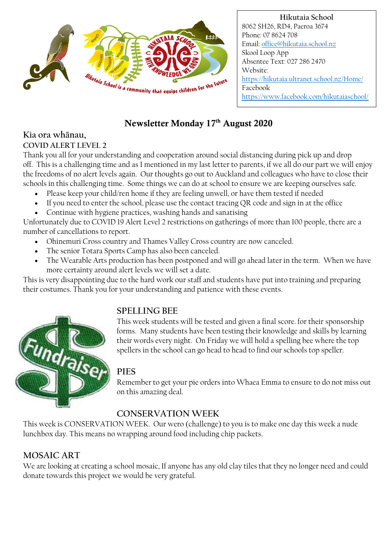

**Hikutaia School** 8062 SH26, RD4, Paeroa 3674 Phone: 07 8624 708 Email[: office@hikutaia.school.nz](mailto:office@hikutaia.school.nz) Skool Loop App Absentee Text: 027 286 2470 Website: <https://hikutaia.ultranet.school.nz/Home/> Facebook <https://www.facebook.com/hikutaiaschool/>

### Newsletter Monday 17<sup>th</sup> August 2020

# **Kia ora wh**ā**nau,**

**COVID ALERT LEVEL 2** Thank you all for your understanding and cooperation around social distancing during pick up and drop off. This is a challenging time and as I mentioned in my last letter to parents, if we all do our part we will enjoy the freedoms of no alert levels again. Our thoughts go out to Auckland and colleagues who have to close their

- schools in this challenging time. Some things we can do at school to ensure we are keeping ourselves safe.
	- Please keep your child/ren home if they are feeling unwell, or have them tested if needed
	- If you need to enter the school, please use the contact tracing QR code and sign in at the office
	- Continue with hygiene practices, washing hands and sanatising

Unfortunately due to COVID 19 Alert Level 2 restrictions on gatherings of more than 100 people, there are a number of cancellations to report.

- Ohinemuri Cross country and Thames Valley Cross country are now canceled.
- The senior Totara Sports Camp has also been canceled.
- The Wearable Arts production has been postponed and will go ahead later in the term. When we have more certainty around alert levels we will set a date.

This is very disappointing due to the hard work our staff and students have put into training and preparing their costumes. Thank you for your understanding and patience with these events.



### **SPELLING BEE**

This week students will be tested and given a final score. for their sponsorship forms. Many students have been testing their knowledge and skills by learning their words every night. On Friday we will hold a spelling bee where the top spellers in the school can go head to head to find our schools top speller.

#### **PIES**

Remember to get your pie orders into Whaea Emma to ensure to do not miss out on this amazing deal.

## **CONSERVATION WEEK**

This week is CONSERVATION WEEK. Our wero (challenge) to you is to make one day this week a nude lunchbox day. This means no wrapping around food including chip packets.

### **MOSAIC ART**

We are looking at creating a school mosaic, If anyone has any old clay tiles that they no longer need and could donate towards this project we would be very grateful.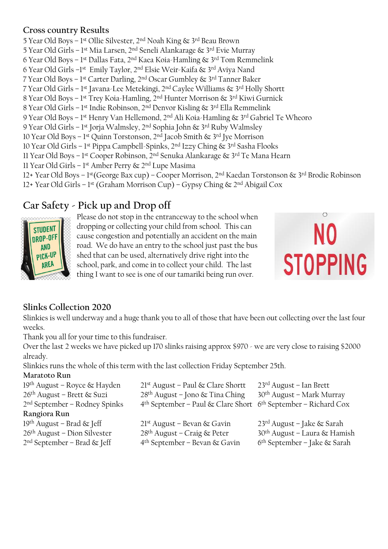#### **Cross country Results**

5 Year Old Boys – 1st Ollie Silvester, 2<sup>nd</sup> Noah King & 3<sup>rd</sup> Beau Brown 5 Year Old Girls – 1st Mia Larsen, 2<sup>nd</sup> Seneli Alankarage & 3<sup>rd</sup> Evie Murray 6 Year Old Boys – 1st Dallas Fata, 2<sup>nd</sup> Kaea Koia-Hamling & 3<sup>rd</sup> Tom Remmelink 6 Year Old Girls –1st Emily Taylor, 2<sup>nd</sup> Elsie Weir-Kaifa & 3<sup>rd</sup> Aviya Nand 7 Year Old Boys – 1 st Carter Darling, 2nd Oscar Gumbley & 3rd Tanner Baker 7 Year Old Girls – 1<sup>st</sup> Javana-Lee Metekingi, 2<sup>nd</sup> Caylee Williams & 3<sup>rd</sup> Holly Shortt 8 Year Old Boys – 1st Trey Koia-Hamling, 2<sup>nd</sup> Hunter Morrison & 3<sup>rd</sup> Kiwi Gurnick 8 Year Old Girls – 1 st Indie Robinson, 2nd Denvor Kisling & 3rd Ella Remmelink 9 Year Old Boys – 1st Henry Van Hellemond, 2<sup>nd</sup> Ali Koia-Hamling & 3<sup>rd</sup> Gabriel Te Wheoro 9 Year Old Girls – 1st Jorja Walmsley, 2<sup>nd</sup> Sophia John & 3<sup>rd</sup> Ruby Walmsley 10 Year Old Boys – 1st Quinn Torstonson, 2<sup>nd</sup> Jacob Smith & 3<sup>rd</sup> Jye Morrison 10 Year Old Girls – 1 st Pippa Campbell-Spinks, 2nd Izzy Ching & 3rd Sasha Flooks 11 Year Old Boys – 1st Cooper Robinson, 2<sup>nd</sup> Senuka Alankarage & 3<sup>rd</sup> Te Mana Hearn 11 Year Old Girls – 1st Amber Perry & 2<sup>nd</sup> Lupe Masima 12+ Year Old Boys – 1st(George Bax cup) – Cooper Morrison, 2<sup>nd</sup> Kaedan Torstonson & 3<sup>rd</sup> Brodie Robinson 12+ Year Old Girls – 1 st (Graham Morrison Cup) – Gypsy Ching & 2nd Abigail Cox

### **Car Safety - Pick up and Drop off**



Please do not stop in the entranceway to the school when dropping or collecting your child from school. This can cause congestion and potentially an accident on the main road. We do have an entry to the school just past the bus shed that can be used, alternatively drive right into the school, park, and come in to collect your child. The last thing I want to see is one of our tamariki being run over.



#### **Slinks Collection 2020**

Slinkies is well underway and a huge thank you to all of those that have been out collecting over the last four weeks.

Thank you all for your time to this fundraiser.

Over the last 2 weeks we have picked up 170 slinks raising approx \$970 - we are very close to raising \$2000 already.

Slinkies runs the whole of this term with the last collection Friday September 25th.

#### **Maratoto Run**

| 19th August – Royce & Hayden             | $21st$ August – Paul & Clare Shortt                            | $23^{\text{rd}}$ August – Ian Brett      |
|------------------------------------------|----------------------------------------------------------------|------------------------------------------|
| 26 <sup>th</sup> August – Brett & Suzi   | 28 <sup>th</sup> August – Jono & Tina Ching                    | 30 <sup>th</sup> August - Mark Murray    |
| $2nd$ September – Rodney Spinks          | 4th September – Paul & Clare Short 6th September – Richard Cox |                                          |
| Rangiora Run                             |                                                                |                                          |
| 19 <sup>th</sup> August – Brad $\&$ Jeff | 21 <sup>st</sup> August - Bevan & Gavin                        | $23^{\text{rd}}$ August – Jake & Sarah   |
| $26th$ August – Dion Silvester           | 28 <sup>th</sup> August – Craig & Peter                        | 30 <sup>th</sup> August - Laura & Hamish |
| $2nd September - Brad & [eff]$           | 4 <sup>th</sup> September – Bevan & Gavin                      | $6th September - Take & Sarah$           |
|                                          |                                                                |                                          |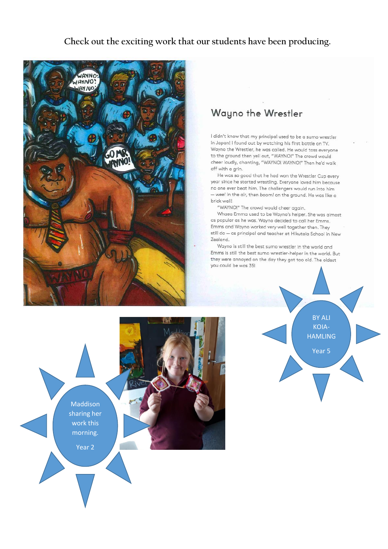#### **Check out the exciting work that our students have been producing.**



## Wayno the Wrestler

I didn't know that my principal used to be a sumo wrestler in Japan! I found out by watching his first battle on TV. Wayno the Wrestler, he was called. He would toss everyone to the ground then yell out, "WAYNO!" The crowd would cheer loudly, chanting, "WAYNO! WAYNO!" Then he'd walk off with a grin.

He was so good that he had won the Wrestler Cup every year since he started wrestling. Everyone loved him because no one ever beat him. The challengers would run into him  $-$  wee! in the air, then boom! on the ground. He was like a brick wall!

"WAYNO!" The crowd would cheer again.

Whaea Emma used to be Wayno's helper. She was almost as popular as he was. Wayno decided to call her Emms. Emms and Wayno worked very well together then. They still do - as principal and teacher at Hikutaia School in New Zealand.

Wayno is still the best sumo wrestler in the world and Emms is still the best sumo wrestler-helper in the world. But they were annoyed on the day they got too old. The oldest you could be was 35!



BY ALI KOIA-**HAMLING** Year 5